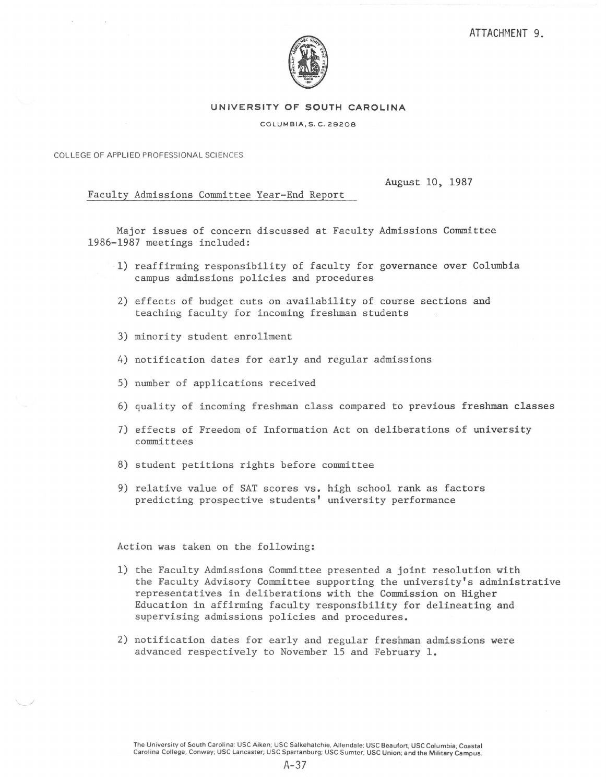

## **UNIVERSITY OF SOUTH CAROLINA**

## COLUMBIA,S. C. 29208

COLLEGE OF APPLIED PROFESSIONAL SCIENCES

August 10, 1987

Faculty Admissions Committee Year-End Report

Major issues of concern discussed at Faculty Admissions Committee 1986-1987 meetings included:

- 1) reaffirming responsibility of faculty for governance over Columbia campus admissions policies and procedures
- 2) effects of budget cuts on availability of course sections and teaching faculty for incoming freshman students
- 3) minority student enrollment
- 4) notification dates for early and regular admissions
- 5) number of applications received
- 6) quality of incoming freshman class compared to previous freshman classes
- 7) effects of Freedom of Information Act on deliberations of university committees
- 8) student petitions rights before committee
- 9) relative value of SAT scores vs. high school rank as factors predicting prospective students' university performance

Action was taken on the following:

- 1) the Faculty Admissions Committee presented a joint resolution with the Faculty Advisory Committee supporting the university's administrative representatives in deliberations with the Commission on Higher Education in affirming faculty responsibility for delineating and supervising admissions policies and procedures.
- 2) notification dates for early and regular freshman admissions were advanced respectively to November 15 and February 1.